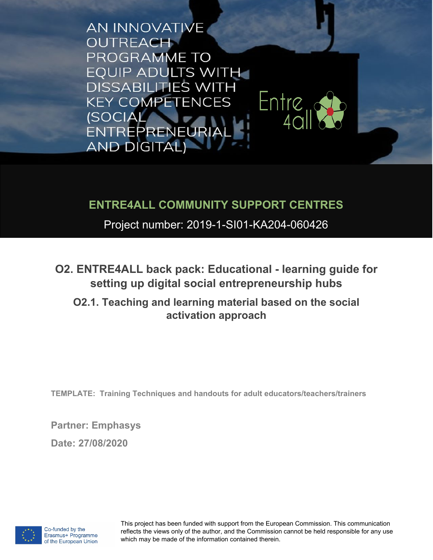**AN INNOVATIVE OUTREACH** PROGRAMME TO **EQUIP ADULTS WITH DISSABILITIES WITH** Entre<sub>u</sub> **KEY COMPETENCES (SOCIAL)** ENTREPRENEURIA **AND DIGITAL)** 

### **ENTRE4ALL COMMUNITY SUPPORT CENTRES**

Project number: 2019-1-SI01-KA204-060426

**O2. ENTRE4ALL back pack: Educational - learning guide for setting up digital social entrepreneurship hubs** 

**O2.1. Teaching and learning material based on the social activation approach**

**TEMPLATE: Training Techniques and handouts for adult educators/teachers/trainers**

**Partner: Emphasys** 

**Date: 27/08/2020**

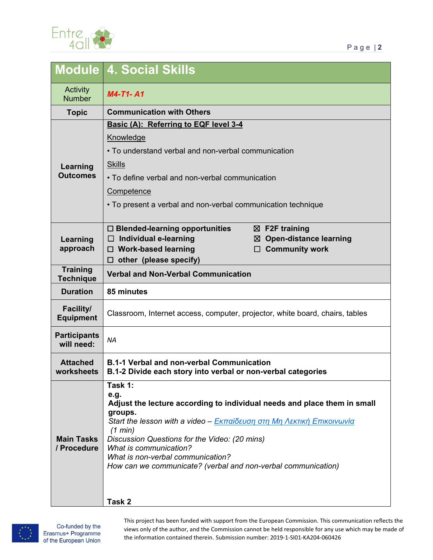

|                                      | <b>Module 4. Social Skills</b>                                                                                               |
|--------------------------------------|------------------------------------------------------------------------------------------------------------------------------|
| Activity<br><b>Number</b>            | <b>M4-T1-A1</b>                                                                                                              |
| <b>Topic</b>                         | <b>Communication with Others</b>                                                                                             |
|                                      | Basic (A): Referring to EQF level 3-4                                                                                        |
| Learning<br><b>Outcomes</b>          | Knowledge                                                                                                                    |
|                                      | • To understand verbal and non-verbal communication                                                                          |
|                                      | <b>Skills</b>                                                                                                                |
|                                      | • To define verbal and non-verbal communication                                                                              |
|                                      | Competence                                                                                                                   |
|                                      | • To present a verbal and non-verbal communication technique                                                                 |
| Learning<br>approach                 | $\Box$ Blended-learning opportunities<br>$\boxtimes$ F2F training                                                            |
|                                      | <b>Open-distance learning</b><br>Individual e-learning<br>$\Box$<br>⊠<br><b>Community work</b><br>$\Box$ Work-based learning |
|                                      | other (please specify)<br>□                                                                                                  |
| <b>Training</b><br><b>Technique</b>  | <b>Verbal and Non-Verbal Communication</b>                                                                                   |
| <b>Duration</b>                      | 85 minutes                                                                                                                   |
| <b>Facility/</b><br><b>Equipment</b> | Classroom, Internet access, computer, projector, white board, chairs, tables                                                 |
| <b>Participants</b><br>will need:    | <b>NA</b>                                                                                                                    |
| <b>Attached</b><br>worksheets        | <b>B.1-1 Verbal and non-verbal Communication</b><br>B.1-2 Divide each story into verbal or non-verbal categories             |
|                                      | Task 1:<br>e.g.                                                                                                              |
| <b>Main Tasks</b><br>/ Procedure     | Adjust the lecture according to individual needs and place them in small                                                     |
|                                      | groups.<br>Start the lesson with a video - Εκπαίδευση στη Μη Λεκτική Επικοινωνία                                             |
|                                      | (1 min)                                                                                                                      |
|                                      | Discussion Questions for the Video: (20 mins)<br>What is communication?                                                      |
|                                      | What is non-verbal communication?                                                                                            |
|                                      | How can we communicate? (verbal and non-verbal communication)                                                                |
|                                      |                                                                                                                              |
|                                      | Task 2                                                                                                                       |

#### **Task 2**

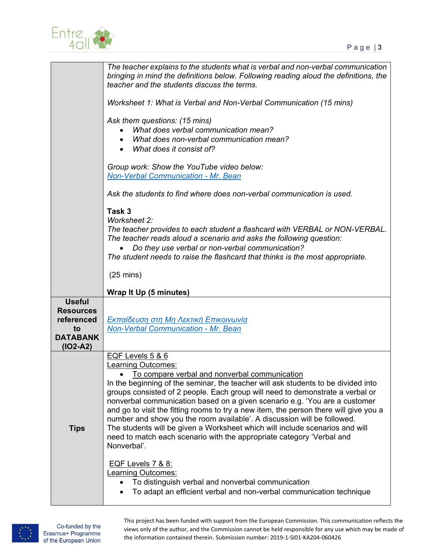

|                                                                                        | The teacher explains to the students what is verbal and non-verbal communication<br>bringing in mind the definitions below. Following reading aloud the definitions, the<br>teacher and the students discuss the terms.<br>Worksheet 1: What is Verbal and Non-Verbal Communication (15 mins)<br>Ask them questions: (15 mins)<br>What does verbal communication mean?<br>What does non-verbal communication mean?<br>What does it consist of?<br>Group work: Show the YouTube video below:<br><b>Non-Verbal Communication - Mr. Bean</b><br>Ask the students to find where does non-verbal communication is used.<br>Task 3<br>Worksheet 2:<br>The teacher provides to each student a flashcard with VERBAL or NON-VERBAL.<br>The teacher reads aloud a scenario and asks the following question:<br>Do they use verbal or non-verbal communication?<br>The student needs to raise the flashcard that thinks is the most appropriate.<br>$(25 \text{ mins})$ |
|----------------------------------------------------------------------------------------|---------------------------------------------------------------------------------------------------------------------------------------------------------------------------------------------------------------------------------------------------------------------------------------------------------------------------------------------------------------------------------------------------------------------------------------------------------------------------------------------------------------------------------------------------------------------------------------------------------------------------------------------------------------------------------------------------------------------------------------------------------------------------------------------------------------------------------------------------------------------------------------------------------------------------------------------------------------|
|                                                                                        | Wrap It Up (5 minutes)                                                                                                                                                                                                                                                                                                                                                                                                                                                                                                                                                                                                                                                                                                                                                                                                                                                                                                                                        |
| <b>Useful</b><br><b>Resources</b><br>referenced<br>to<br><b>DATABANK</b><br>$(IO2-A2)$ | Εκπαίδευση στη Μη Λεκτική Επικοινωνία<br><b>Non-Verbal Communication - Mr. Bean</b>                                                                                                                                                                                                                                                                                                                                                                                                                                                                                                                                                                                                                                                                                                                                                                                                                                                                           |
| <b>Tips</b>                                                                            | EQF Levels 5 & 6<br><b>Learning Outcomes:</b><br><u>To compare verbal and nonverbal communication</u><br>In the beginning of the seminar, the teacher will ask students to be divided into<br>groups consisted of 2 people. Each group will need to demonstrate a verbal or<br>nonverbal communication based on a given scenario e.g. 'You are a customer<br>and go to visit the fitting rooms to try a new item, the person there will give you a<br>number and show you the room available'. A discussion will be followed.<br>The students will be given a Worksheet which will include scenarios and will<br>need to match each scenario with the appropriate category 'Verbal and<br>Nonverbal'.<br>EQF Levels 7 & 8:<br><b>Learning Outcomes:</b><br>To distinguish verbal and nonverbal communication<br>To adapt an efficient verbal and non-verbal communication technique                                                                           |

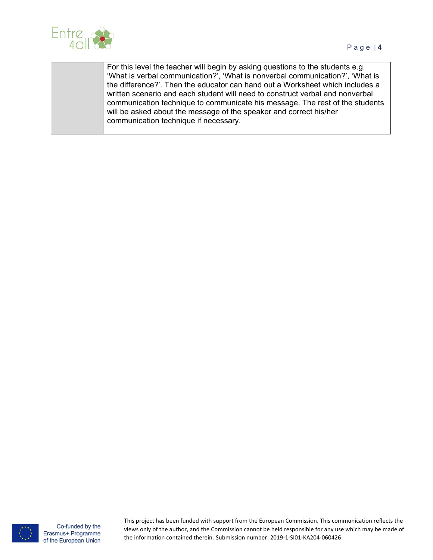

For this level the teacher will begin by asking questions to the students e.g. 'What is verbal communication?', 'What is nonverbal communication?', 'What is the difference?'. Then the educator can hand out a Worksheet which includes a written scenario and each student will need to construct verbal and nonverbal communication technique to communicate his message. The rest of the students will be asked about the message of the speaker and correct his/her communication technique if necessary.



Co-funded by the Erasmus+ Programme of the European Union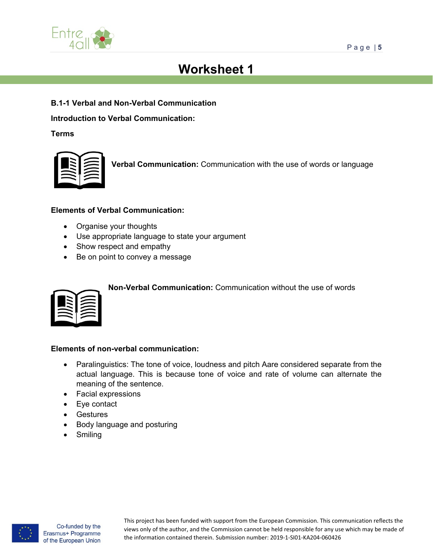

# **Worksheet 1**

**B.1-1 Verbal and Non-Verbal Communication**

**Introduction to Verbal Communication:**

**Terms**



**Verbal Communication:** Communication with the use of words or language

#### **Elements of Verbal Communication:**

- Organise your thoughts
- Use appropriate language to state your argument
- Show respect and empathy
- Be on point to convey a message



**Non-Verbal Communication:** Communication without the use of words

#### **Elements of non-verbal communication:**

- Paralinguistics: The tone of voice, loudness and pitch Aare considered separate from the actual language. This is because tone of voice and rate of volume can alternate the meaning of the sentence.
- Facial expressions
- Eye contact
- Gestures
- Body language and posturing
- **Smiling**